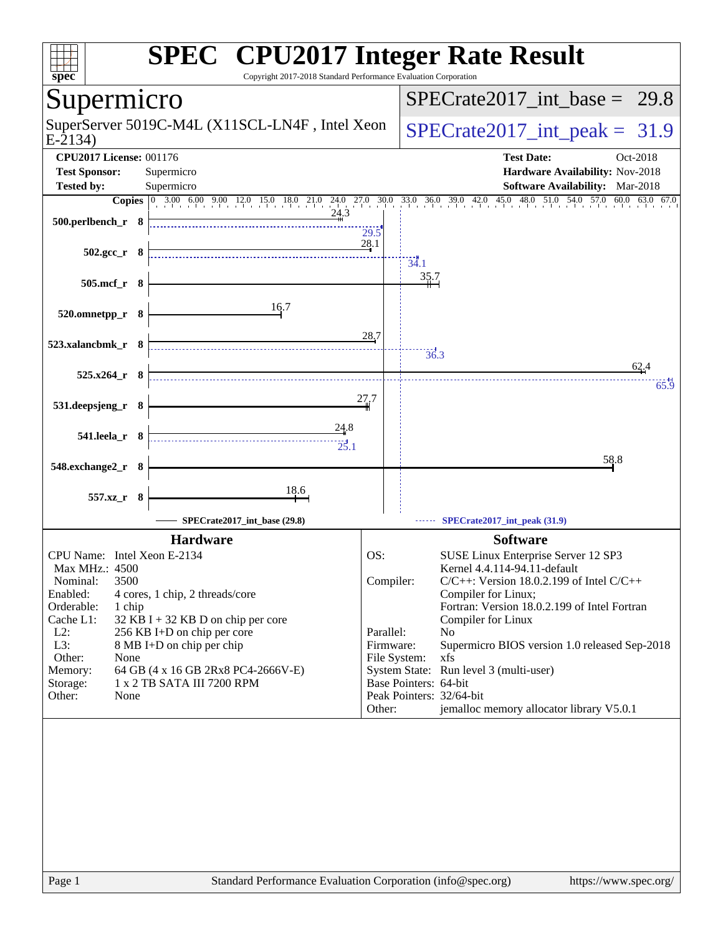| <b>SPEC<sup>®</sup> CPU2017 Integer Rate Result</b><br>Copyright 2017-2018 Standard Performance Evaluation Corporation<br>spec <sup>®</sup>                                                                                                                                                                                                                                                               |                                                                      |                       |                                                                                                                                                                                                                                                                                                                                                                                                               |
|-----------------------------------------------------------------------------------------------------------------------------------------------------------------------------------------------------------------------------------------------------------------------------------------------------------------------------------------------------------------------------------------------------------|----------------------------------------------------------------------|-----------------------|---------------------------------------------------------------------------------------------------------------------------------------------------------------------------------------------------------------------------------------------------------------------------------------------------------------------------------------------------------------------------------------------------------------|
| Supermicro                                                                                                                                                                                                                                                                                                                                                                                                |                                                                      |                       | $SPECrate2017\_int\_base = 29.8$                                                                                                                                                                                                                                                                                                                                                                              |
| SuperServer 5019C-M4L (X11SCL-LN4F, Intel Xeon<br>$E-2134$                                                                                                                                                                                                                                                                                                                                                |                                                                      |                       | $SPECTate2017\_int\_peak = 31.9$                                                                                                                                                                                                                                                                                                                                                                              |
| <b>CPU2017 License: 001176</b><br><b>Test Sponsor:</b><br>Supermicro<br><b>Tested by:</b><br>Supermicro                                                                                                                                                                                                                                                                                                   |                                                                      |                       | <b>Test Date:</b><br>Oct-2018<br>Hardware Availability: Nov-2018<br>Software Availability: Mar-2018                                                                                                                                                                                                                                                                                                           |
| Copies 0 3.00 6.00 9.00 12.0 15.0 18.0 21.0 24.0 27.0 30.0 33.0 36.0 39.0 42.0 45.0 48.0 51.0 54.0 57.0 60.0 63.0 67.0<br>24.3<br>500.perlbench_r 8                                                                                                                                                                                                                                                       | 29.5                                                                 |                       |                                                                                                                                                                                                                                                                                                                                                                                                               |
| $502.\text{gcc}_r$ 8                                                                                                                                                                                                                                                                                                                                                                                      | 28.1                                                                 | 34.1                  |                                                                                                                                                                                                                                                                                                                                                                                                               |
| 505.mcf_r 8<br>16.7<br>520.omnetpp_r 8                                                                                                                                                                                                                                                                                                                                                                    |                                                                      | 35.7                  |                                                                                                                                                                                                                                                                                                                                                                                                               |
| 523.xalancbmk_r 8                                                                                                                                                                                                                                                                                                                                                                                         | <u>28.7</u>                                                          | 36.3                  |                                                                                                                                                                                                                                                                                                                                                                                                               |
| $525.x264_r$ 8                                                                                                                                                                                                                                                                                                                                                                                            | 27.7                                                                 |                       | 62.4<br>65.9                                                                                                                                                                                                                                                                                                                                                                                                  |
| 531.deepsjeng_r 8<br>24.8<br>$541.$ leela_r $8$                                                                                                                                                                                                                                                                                                                                                           |                                                                      |                       |                                                                                                                                                                                                                                                                                                                                                                                                               |
| 25.1<br>548.exchange2_r 8                                                                                                                                                                                                                                                                                                                                                                                 |                                                                      |                       | 58.8                                                                                                                                                                                                                                                                                                                                                                                                          |
| 18.6<br>557.xz_r 8<br>SPECrate2017_int_base (29.8)                                                                                                                                                                                                                                                                                                                                                        |                                                                      |                       |                                                                                                                                                                                                                                                                                                                                                                                                               |
| <b>Hardware</b>                                                                                                                                                                                                                                                                                                                                                                                           |                                                                      |                       | SPECrate2017_int_peak (31.9)<br><b>Software</b>                                                                                                                                                                                                                                                                                                                                                               |
| CPU Name: Intel Xeon E-2134<br>Max MHz.: 4500<br>Nominal:<br>3500<br>Enabled:<br>4 cores, 1 chip, 2 threads/core<br>Orderable:<br>1 chip<br>Cache L1:<br>$32$ KB I + 32 KB D on chip per core<br>$L2$ :<br>256 KB I+D on chip per core<br>L3:<br>8 MB I+D on chip per chip<br>Other:<br>None<br>Memory:<br>64 GB (4 x 16 GB 2Rx8 PC4-2666V-E)<br>1 x 2 TB SATA III 7200 RPM<br>Storage:<br>Other:<br>None | OS:<br>Compiler:<br>Parallel:<br>Firmware:<br>File System:<br>Other: | Base Pointers: 64-bit | SUSE Linux Enterprise Server 12 SP3<br>Kernel 4.4.114-94.11-default<br>$C/C++$ : Version 18.0.2.199 of Intel $C/C++$<br>Compiler for Linux;<br>Fortran: Version 18.0.2.199 of Intel Fortran<br>Compiler for Linux<br>N <sub>0</sub><br>Supermicro BIOS version 1.0 released Sep-2018<br>xfs<br>System State: Run level 3 (multi-user)<br>Peak Pointers: 32/64-bit<br>jemalloc memory allocator library V5.0.1 |
| Page 1<br>Standard Performance Evaluation Corporation (info@spec.org)                                                                                                                                                                                                                                                                                                                                     |                                                                      |                       | https://www.spec.org/                                                                                                                                                                                                                                                                                                                                                                                         |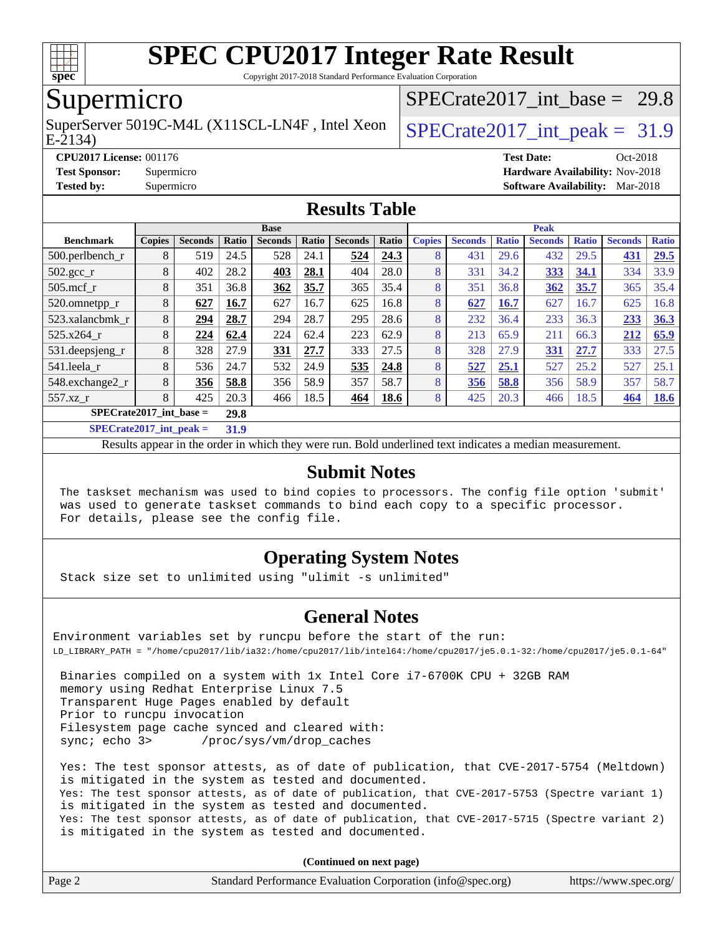

Copyright 2017-2018 Standard Performance Evaluation Corporation

### Supermicro

E-2134) SuperServer 5019C-M4L (X11SCL-LN4F, Intel Xeon  $\big|$  SPECrate 2017 int peak = 31.9

SPECrate2017 int\_base =  $29.8$ 

#### **[CPU2017 License:](http://www.spec.org/auto/cpu2017/Docs/result-fields.html#CPU2017License)** 001176 **[Test Date:](http://www.spec.org/auto/cpu2017/Docs/result-fields.html#TestDate)** Oct-2018 **[Test Sponsor:](http://www.spec.org/auto/cpu2017/Docs/result-fields.html#TestSponsor)** Supermicro **[Hardware Availability:](http://www.spec.org/auto/cpu2017/Docs/result-fields.html#HardwareAvailability)** Nov-2018 **[Tested by:](http://www.spec.org/auto/cpu2017/Docs/result-fields.html#Testedby)** Supermicro **[Software Availability:](http://www.spec.org/auto/cpu2017/Docs/result-fields.html#SoftwareAvailability)** Mar-2018

#### **[Results Table](http://www.spec.org/auto/cpu2017/Docs/result-fields.html#ResultsTable)**

|                           |                |                                                  | <b>Base</b>    |       |                |       | <b>Peak</b>   |                |              |                |              |                |              |
|---------------------------|----------------|--------------------------------------------------|----------------|-------|----------------|-------|---------------|----------------|--------------|----------------|--------------|----------------|--------------|
| <b>Copies</b>             | <b>Seconds</b> | Ratio                                            | <b>Seconds</b> | Ratio | <b>Seconds</b> | Ratio | <b>Copies</b> | <b>Seconds</b> | <b>Ratio</b> | <b>Seconds</b> | <b>Ratio</b> | <b>Seconds</b> | <b>Ratio</b> |
| 8                         | 519            | 24.5                                             | 528            | 24.1  | 524            | 24.3  | 8             | 431            | 29.6         | 432            | 29.5         | 431            | 29.5         |
| 8                         | 402            | 28.2                                             | 403            | 28.1  | 404            | 28.0  | 8             | 331            | 34.2         | 333            | 34.1         | 334            | 33.9         |
| 8                         | 351            | 36.8                                             | 362            | 35.7  | 365            | 35.4  | 8             | 351            | 36.8         | 362            | 35.7         | 365            | 35.4         |
| 8                         | 627            | 16.7                                             | 627            | 16.7  | 625            | 16.8  | 8             | 627            | 16.7         | 627            | 16.7         | 625            | 16.8         |
| 8                         | 294            | 28.7                                             | 294            | 28.7  | 295            | 28.6  | 8             | 232            | 36.4         | 233            | 36.3         | 233            | 36.3         |
| 8                         | 224            | 62.4                                             | 224            | 62.4  | 223            | 62.9  | 8             | 213            | 65.9         | 211            | 66.3         | 212            | 65.9         |
| 8                         | 328            | 27.9                                             | 331            | 27.7  | 333            | 27.5  | 8             | 328            | 27.9         | 331            | 27.7         | 333            | 27.5         |
| 8                         | 536            | 24.7                                             | 532            | 24.9  | 535            | 24.8  | 8             | 527            | 25.1         | 527            | 25.2         | 527            | 25.1         |
| 8                         | 356            | 58.8                                             | 356            | 58.9  | 357            | 58.7  | 8             | 356            | 58.8         | 356            | 58.9         | 357            | 58.7         |
| 8                         | 425            | 20.3                                             | 466            | 18.5  | 464            | 18.6  | 8             | 425            | 20.3         | 466            | 18.5         | 464            | <b>18.6</b>  |
| $SPECrate2017$ int base = |                |                                                  |                |       |                |       |               |                |              |                |              |                |              |
|                           |                | $\sim$ $\sim$ $\sim$ $\sim$ $\sim$ $\sim$ $\sim$ | 29.8           |       |                |       |               |                |              |                |              |                |              |

**[SPECrate2017\\_int\\_peak =](http://www.spec.org/auto/cpu2017/Docs/result-fields.html#SPECrate2017intpeak) 31.9**

Results appear in the [order in which they were run](http://www.spec.org/auto/cpu2017/Docs/result-fields.html#RunOrder). Bold underlined text [indicates a median measurement](http://www.spec.org/auto/cpu2017/Docs/result-fields.html#Median).

#### **[Submit Notes](http://www.spec.org/auto/cpu2017/Docs/result-fields.html#SubmitNotes)**

 The taskset mechanism was used to bind copies to processors. The config file option 'submit' was used to generate taskset commands to bind each copy to a specific processor. For details, please see the config file.

#### **[Operating System Notes](http://www.spec.org/auto/cpu2017/Docs/result-fields.html#OperatingSystemNotes)**

Stack size set to unlimited using "ulimit -s unlimited"

#### **[General Notes](http://www.spec.org/auto/cpu2017/Docs/result-fields.html#GeneralNotes)**

Environment variables set by runcpu before the start of the run: LD\_LIBRARY\_PATH = "/home/cpu2017/lib/ia32:/home/cpu2017/lib/intel64:/home/cpu2017/je5.0.1-32:/home/cpu2017/je5.0.1-64"

 Binaries compiled on a system with 1x Intel Core i7-6700K CPU + 32GB RAM memory using Redhat Enterprise Linux 7.5 Transparent Huge Pages enabled by default Prior to runcpu invocation Filesystem page cache synced and cleared with: sync; echo 3> /proc/sys/vm/drop\_caches

 Yes: The test sponsor attests, as of date of publication, that CVE-2017-5754 (Meltdown) is mitigated in the system as tested and documented. Yes: The test sponsor attests, as of date of publication, that CVE-2017-5753 (Spectre variant 1) is mitigated in the system as tested and documented. Yes: The test sponsor attests, as of date of publication, that CVE-2017-5715 (Spectre variant 2) is mitigated in the system as tested and documented.

**(Continued on next page)**

| Page 2<br>Standard Performance Evaluation Corporation (info@spec.org)<br>https://www.spec.org/ |
|------------------------------------------------------------------------------------------------|
|------------------------------------------------------------------------------------------------|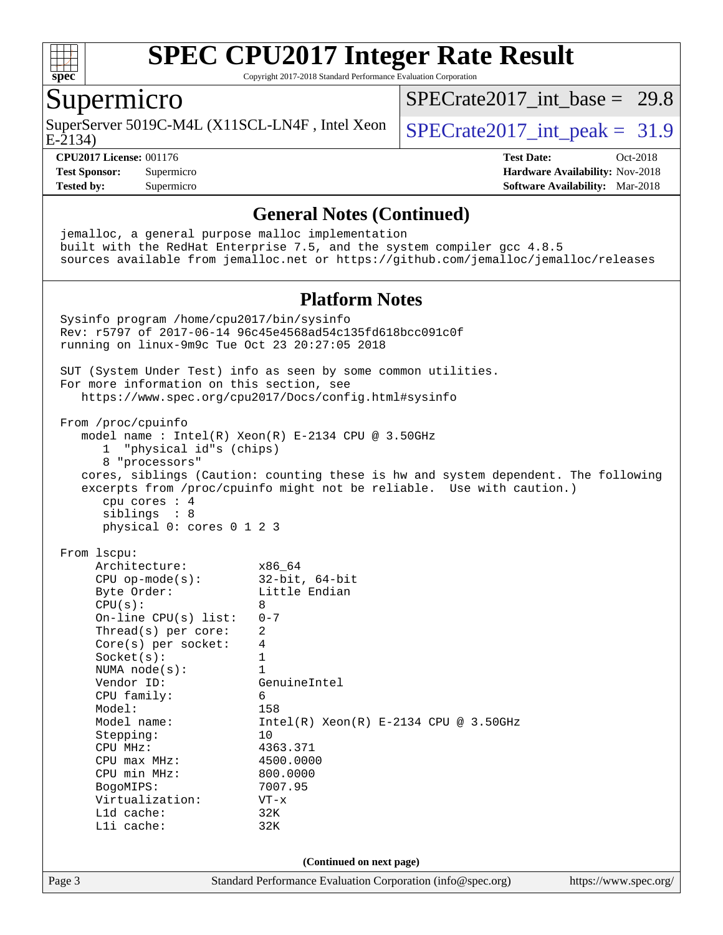

Copyright 2017-2018 Standard Performance Evaluation Corporation

### Supermicro

SuperServer 5019C-M4L (X11SCL-LN4F, Intel Xeon  $\big|$  SPECrate 2017 int peak = 31.9

[SPECrate2017\\_int\\_base =](http://www.spec.org/auto/cpu2017/Docs/result-fields.html#SPECrate2017intbase) 29.8

E-2134)

#### **[CPU2017 License:](http://www.spec.org/auto/cpu2017/Docs/result-fields.html#CPU2017License)** 001176 **[Test Date:](http://www.spec.org/auto/cpu2017/Docs/result-fields.html#TestDate)** Oct-2018

**[Test Sponsor:](http://www.spec.org/auto/cpu2017/Docs/result-fields.html#TestSponsor)** Supermicro **[Hardware Availability:](http://www.spec.org/auto/cpu2017/Docs/result-fields.html#HardwareAvailability)** Nov-2018 **[Tested by:](http://www.spec.org/auto/cpu2017/Docs/result-fields.html#Testedby)** Supermicro **[Software Availability:](http://www.spec.org/auto/cpu2017/Docs/result-fields.html#SoftwareAvailability)** Mar-2018

**[General Notes \(Continued\)](http://www.spec.org/auto/cpu2017/Docs/result-fields.html#GeneralNotes)** jemalloc, a general purpose malloc implementation built with the RedHat Enterprise 7.5, and the system compiler gcc 4.8.5 sources available from jemalloc.net or <https://github.com/jemalloc/jemalloc/releases> **[Platform Notes](http://www.spec.org/auto/cpu2017/Docs/result-fields.html#PlatformNotes)** Sysinfo program /home/cpu2017/bin/sysinfo Rev: r5797 of 2017-06-14 96c45e4568ad54c135fd618bcc091c0f running on linux-9m9c Tue Oct 23 20:27:05 2018 SUT (System Under Test) info as seen by some common utilities. For more information on this section, see <https://www.spec.org/cpu2017/Docs/config.html#sysinfo> From /proc/cpuinfo model name : Intel(R) Xeon(R) E-2134 CPU @ 3.50GHz 1 "physical id"s (chips) 8 "processors" cores, siblings (Caution: counting these is hw and system dependent. The following excerpts from /proc/cpuinfo might not be reliable. Use with caution.) cpu cores : 4 siblings : 8 physical 0: cores 0 1 2 3 From lscpu: Architecture: x86\_64 CPU op-mode(s): 32-bit, 64-bit Byte Order: Little Endian  $CPU(s):$  8 On-line CPU(s) list: 0-7 Thread(s) per core: 2 Core(s) per socket: 4 Socket(s): 1 NUMA node(s): 1<br>Vendor ID: Ge GenuineIntel CPU family: 6 Model: 158 Model name: Intel(R) Xeon(R) E-2134 CPU @ 3.50GHz Stepping: 10 CPU MHz: 4363.371 CPU max MHz: 4500.0000<br>
CPU min MHz: 800.0000 CPU min MHz: BogoMIPS: 7007.95 Virtualization: VT-x L1d cache: 32K L1i cache: 32K **(Continued on next page)**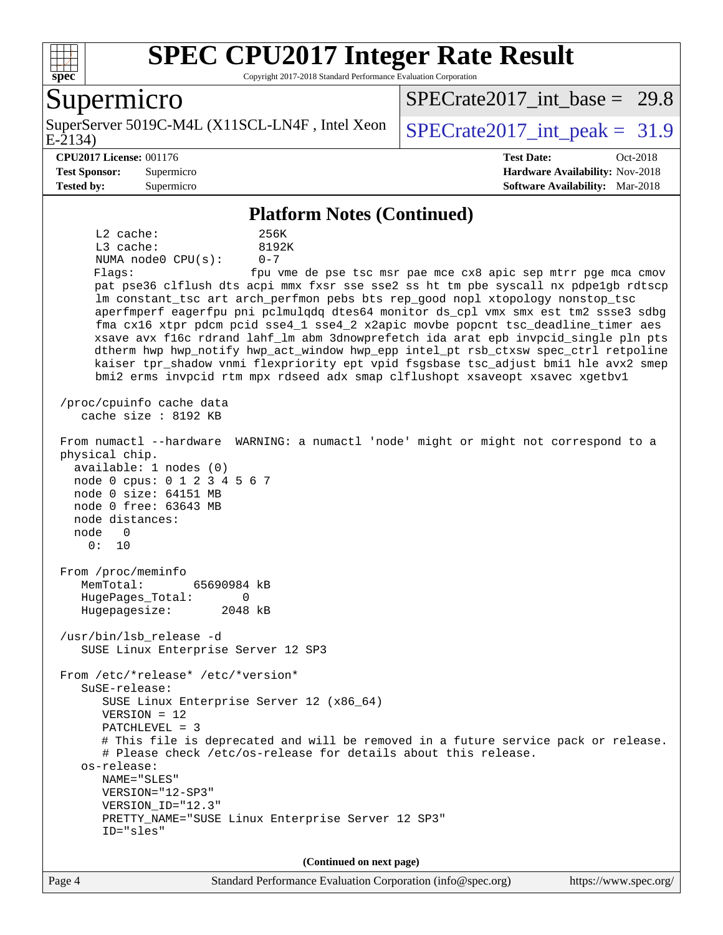

Copyright 2017-2018 Standard Performance Evaluation Corporation

#### Supermicro

E-2134) SuperServer 5019C-M4L (X11SCL-LN4F, Intel Xeon  $\big|$  SPECrate 2017 int peak = 31.9

SPECrate2017 int\_base =  $29.8$ 

**[CPU2017 License:](http://www.spec.org/auto/cpu2017/Docs/result-fields.html#CPU2017License)** 001176 **[Test Date:](http://www.spec.org/auto/cpu2017/Docs/result-fields.html#TestDate)** Oct-2018 **[Test Sponsor:](http://www.spec.org/auto/cpu2017/Docs/result-fields.html#TestSponsor)** Supermicro **[Hardware Availability:](http://www.spec.org/auto/cpu2017/Docs/result-fields.html#HardwareAvailability)** Nov-2018 **[Tested by:](http://www.spec.org/auto/cpu2017/Docs/result-fields.html#Testedby)** Supermicro **[Software Availability:](http://www.spec.org/auto/cpu2017/Docs/result-fields.html#SoftwareAvailability)** Mar-2018

#### **[Platform Notes \(Continued\)](http://www.spec.org/auto/cpu2017/Docs/result-fields.html#PlatformNotes)**

 L2 cache: 256K L3 cache: 8192K NUMA node0 CPU(s): 0-7 Flags: fpu vme de pse tsc msr pae mce cx8 apic sep mtrr pge mca cmov pat pse36 clflush dts acpi mmx fxsr sse sse2 ss ht tm pbe syscall nx pdpe1gb rdtscp lm constant\_tsc art arch\_perfmon pebs bts rep\_good nopl xtopology nonstop\_tsc aperfmperf eagerfpu pni pclmulqdq dtes64 monitor ds\_cpl vmx smx est tm2 ssse3 sdbg fma cx16 xtpr pdcm pcid sse4\_1 sse4\_2 x2apic movbe popcnt tsc\_deadline\_timer aes xsave avx f16c rdrand lahf\_lm abm 3dnowprefetch ida arat epb invpcid\_single pln pts dtherm hwp hwp\_notify hwp\_act\_window hwp\_epp intel\_pt rsb\_ctxsw spec\_ctrl retpoline kaiser tpr\_shadow vnmi flexpriority ept vpid fsgsbase tsc\_adjust bmi1 hle avx2 smep bmi2 erms invpcid rtm mpx rdseed adx smap clflushopt xsaveopt xsavec xgetbv1 /proc/cpuinfo cache data cache size : 8192 KB From numactl --hardware WARNING: a numactl 'node' might or might not correspond to a physical chip. available: 1 nodes (0) node 0 cpus: 0 1 2 3 4 5 6 7 node 0 size: 64151 MB node 0 free: 63643 MB node distances: node 0 0: 10 From /proc/meminfo MemTotal: 65690984 kB HugePages\_Total: 0 Hugepagesize: 2048 kB /usr/bin/lsb\_release -d SUSE Linux Enterprise Server 12 SP3 From /etc/\*release\* /etc/\*version\* SuSE-release: SUSE Linux Enterprise Server 12 (x86\_64) VERSION = 12 PATCHLEVEL = 3 # This file is deprecated and will be removed in a future service pack or release. # Please check /etc/os-release for details about this release. os-release: NAME="SLES" VERSION="12-SP3" VERSION\_ID="12.3" PRETTY\_NAME="SUSE Linux Enterprise Server 12 SP3" ID="sles" **(Continued on next page)**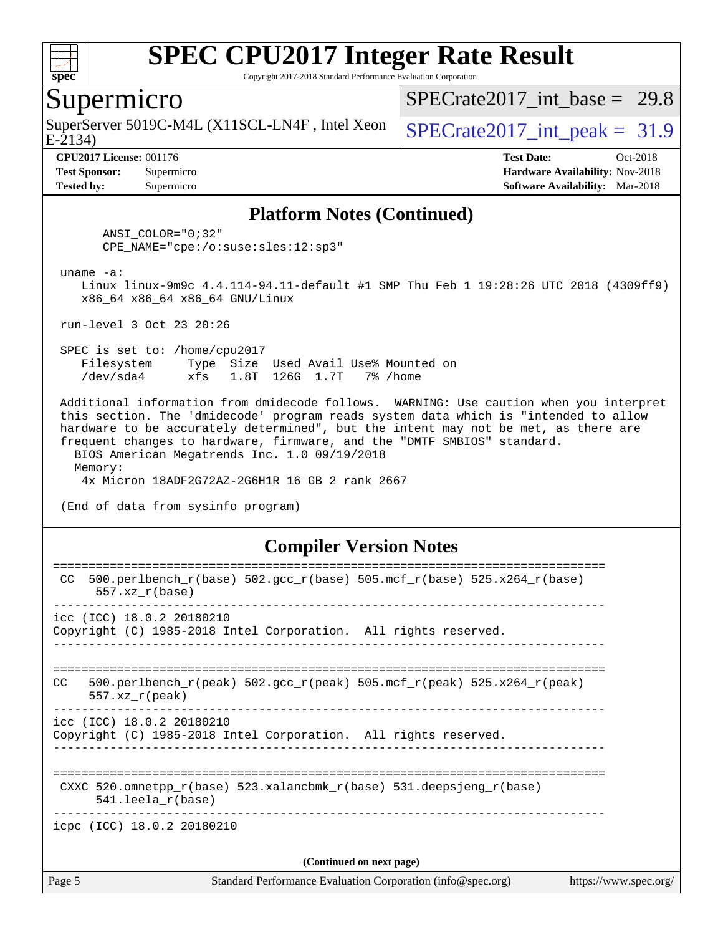

Copyright 2017-2018 Standard Performance Evaluation Corporation

#### Supermicro

SuperServer 5019C-M4L (X11SCL-LN4F, Intel Xeon  $\big|$  SPECrate2017 int peak = 31.9

SPECrate2017 int\_base =  $29.8$ 

E-2134)

**[Tested by:](http://www.spec.org/auto/cpu2017/Docs/result-fields.html#Testedby)** Supermicro **[Software Availability:](http://www.spec.org/auto/cpu2017/Docs/result-fields.html#SoftwareAvailability)** Mar-2018

**[CPU2017 License:](http://www.spec.org/auto/cpu2017/Docs/result-fields.html#CPU2017License)** 001176 **[Test Date:](http://www.spec.org/auto/cpu2017/Docs/result-fields.html#TestDate)** Oct-2018 **[Test Sponsor:](http://www.spec.org/auto/cpu2017/Docs/result-fields.html#TestSponsor)** Supermicro **[Hardware Availability:](http://www.spec.org/auto/cpu2017/Docs/result-fields.html#HardwareAvailability)** Nov-2018

#### **[Platform Notes \(Continued\)](http://www.spec.org/auto/cpu2017/Docs/result-fields.html#PlatformNotes)**

 ANSI\_COLOR="0;32" CPE\_NAME="cpe:/o:suse:sles:12:sp3"

uname -a:

 Linux linux-9m9c 4.4.114-94.11-default #1 SMP Thu Feb 1 19:28:26 UTC 2018 (4309ff9) x86\_64 x86\_64 x86\_64 GNU/Linux

run-level 3 Oct 23 20:26

 SPEC is set to: /home/cpu2017 Filesystem Type Size Used Avail Use% Mounted on /dev/sda4 xfs 1.8T 126G 1.7T 7% /home

 Additional information from dmidecode follows. WARNING: Use caution when you interpret this section. The 'dmidecode' program reads system data which is "intended to allow hardware to be accurately determined", but the intent may not be met, as there are frequent changes to hardware, firmware, and the "DMTF SMBIOS" standard. BIOS American Megatrends Inc. 1.0 09/19/2018

 Memory: 4x Micron 18ADF2G72AZ-2G6H1R 16 GB 2 rank 2667

(End of data from sysinfo program)

#### **[Compiler Version Notes](http://www.spec.org/auto/cpu2017/Docs/result-fields.html#CompilerVersionNotes)**

| Page 5 | Standard Performance Evaluation Corporation (info@spec.org)<br>https://www.spec.org/                                    |
|--------|-------------------------------------------------------------------------------------------------------------------------|
|        | (Continued on next page)                                                                                                |
|        | icpc (ICC) 18.0.2 20180210                                                                                              |
|        | CXXC $520.\text{omnetpp_r(base)}$ $523.\text{xalancbmk_r(base)}$ $531.\text{deepsjeng_r(base)}$<br>$541.$ leela r(base) |
|        | icc (ICC) 18.0.2 20180210<br>Copyright (C) 1985-2018 Intel Corporation. All rights reserved.                            |
| CC.    | $500. perlbench_r (peak) 502. gcc_r (peak) 505. mcf_r (peak) 525. x264_r (peak)$<br>$557.xx$ r(peak)                    |
|        | icc (ICC) 18.0.2 20180210<br>Copyright (C) 1985-2018 Intel Corporation. All rights reserved.                            |
| CC.    | $500. perlbench_r(base) 502. gcc_r(base) 505. mcf_r(base) 525. x264_r(base)$<br>$557.xx$ $r(base)$                      |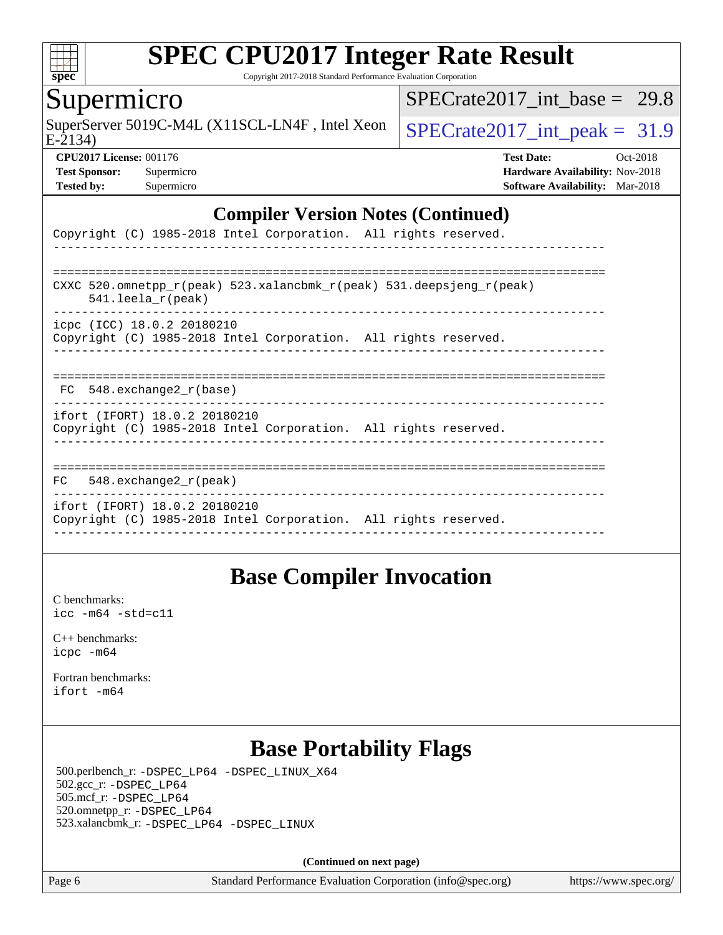

Copyright 2017-2018 Standard Performance Evaluation Corporation

#### Supermicro

SuperServer 5019C-M4L (X11SCL-LN4F, Intel Xeon  $\big|$  SPECrate 2017 int peak = 31.9

SPECrate2017 int\_base =  $29.8$ 

E-2134)

**[CPU2017 License:](http://www.spec.org/auto/cpu2017/Docs/result-fields.html#CPU2017License)** 001176 **[Test Date:](http://www.spec.org/auto/cpu2017/Docs/result-fields.html#TestDate)** Oct-2018 **[Test Sponsor:](http://www.spec.org/auto/cpu2017/Docs/result-fields.html#TestSponsor)** Supermicro **[Hardware Availability:](http://www.spec.org/auto/cpu2017/Docs/result-fields.html#HardwareAvailability)** Nov-2018 **[Tested by:](http://www.spec.org/auto/cpu2017/Docs/result-fields.html#Testedby)** Supermicro **[Software Availability:](http://www.spec.org/auto/cpu2017/Docs/result-fields.html#SoftwareAvailability)** Mar-2018

#### **[Compiler Version Notes \(Continued\)](http://www.spec.org/auto/cpu2017/Docs/result-fields.html#CompilerVersionNotes)**

| Copyright (C) 1985-2018 Intel Corporation. All rights reserved.                                                            |
|----------------------------------------------------------------------------------------------------------------------------|
| CXXC 520.omnetpp $r(\text{peak})$ 523.xalancbmk $r(\text{peak})$ 531.deepsjeng $r(\text{peak})$<br>$541.$ leela $r$ (peak) |
| icpc (ICC) 18.0.2 20180210<br>Copyright (C) 1985-2018 Intel Corporation. All rights reserved.                              |
| FC 548. exchange2 r(base)                                                                                                  |
| ifort (IFORT) 18.0.2 20180210<br>Copyright (C) 1985-2018 Intel Corporation. All rights reserved.                           |
| 548.exchange2 r(peak)<br>FC                                                                                                |
| ifort (IFORT) 18.0.2 20180210<br>Copyright (C) 1985-2018 Intel Corporation. All rights reserved.                           |

### **[Base Compiler Invocation](http://www.spec.org/auto/cpu2017/Docs/result-fields.html#BaseCompilerInvocation)**

[C benchmarks](http://www.spec.org/auto/cpu2017/Docs/result-fields.html#Cbenchmarks): [icc -m64 -std=c11](http://www.spec.org/cpu2017/results/res2018q4/cpu2017-20181112-09623.flags.html#user_CCbase_intel_icc_64bit_c11_33ee0cdaae7deeeab2a9725423ba97205ce30f63b9926c2519791662299b76a0318f32ddfffdc46587804de3178b4f9328c46fa7c2b0cd779d7a61945c91cd35)

[C++ benchmarks:](http://www.spec.org/auto/cpu2017/Docs/result-fields.html#CXXbenchmarks) [icpc -m64](http://www.spec.org/cpu2017/results/res2018q4/cpu2017-20181112-09623.flags.html#user_CXXbase_intel_icpc_64bit_4ecb2543ae3f1412ef961e0650ca070fec7b7afdcd6ed48761b84423119d1bf6bdf5cad15b44d48e7256388bc77273b966e5eb805aefd121eb22e9299b2ec9d9)

[Fortran benchmarks](http://www.spec.org/auto/cpu2017/Docs/result-fields.html#Fortranbenchmarks): [ifort -m64](http://www.spec.org/cpu2017/results/res2018q4/cpu2017-20181112-09623.flags.html#user_FCbase_intel_ifort_64bit_24f2bb282fbaeffd6157abe4f878425411749daecae9a33200eee2bee2fe76f3b89351d69a8130dd5949958ce389cf37ff59a95e7a40d588e8d3a57e0c3fd751)

### **[Base Portability Flags](http://www.spec.org/auto/cpu2017/Docs/result-fields.html#BasePortabilityFlags)**

 500.perlbench\_r: [-DSPEC\\_LP64](http://www.spec.org/cpu2017/results/res2018q4/cpu2017-20181112-09623.flags.html#b500.perlbench_r_basePORTABILITY_DSPEC_LP64) [-DSPEC\\_LINUX\\_X64](http://www.spec.org/cpu2017/results/res2018q4/cpu2017-20181112-09623.flags.html#b500.perlbench_r_baseCPORTABILITY_DSPEC_LINUX_X64) 502.gcc\_r: [-DSPEC\\_LP64](http://www.spec.org/cpu2017/results/res2018q4/cpu2017-20181112-09623.flags.html#suite_basePORTABILITY502_gcc_r_DSPEC_LP64) 505.mcf\_r: [-DSPEC\\_LP64](http://www.spec.org/cpu2017/results/res2018q4/cpu2017-20181112-09623.flags.html#suite_basePORTABILITY505_mcf_r_DSPEC_LP64) 520.omnetpp\_r: [-DSPEC\\_LP64](http://www.spec.org/cpu2017/results/res2018q4/cpu2017-20181112-09623.flags.html#suite_basePORTABILITY520_omnetpp_r_DSPEC_LP64) 523.xalancbmk\_r: [-DSPEC\\_LP64](http://www.spec.org/cpu2017/results/res2018q4/cpu2017-20181112-09623.flags.html#suite_basePORTABILITY523_xalancbmk_r_DSPEC_LP64) [-DSPEC\\_LINUX](http://www.spec.org/cpu2017/results/res2018q4/cpu2017-20181112-09623.flags.html#b523.xalancbmk_r_baseCXXPORTABILITY_DSPEC_LINUX)

**(Continued on next page)**

Page 6 Standard Performance Evaluation Corporation [\(info@spec.org\)](mailto:info@spec.org) <https://www.spec.org/>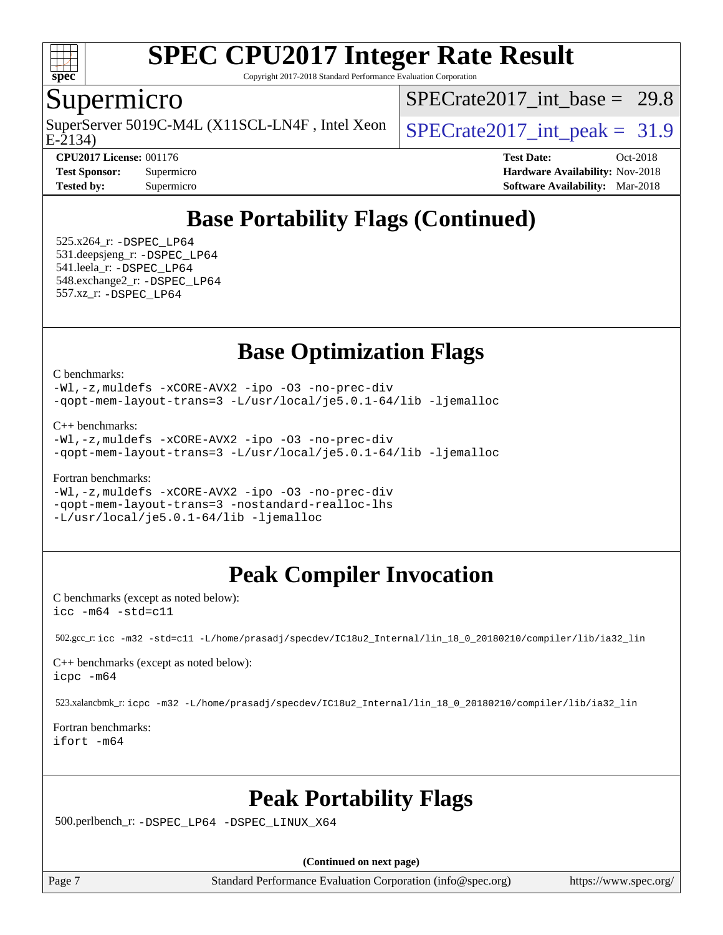

Copyright 2017-2018 Standard Performance Evaluation Corporation

### Supermicro

E-2134) SuperServer 5019C-M4L (X11SCL-LN4F, Intel Xeon  $\big|$  SPECrate 2017 int peak = 31.9

SPECrate2017 int\_base =  $29.8$ 

**[Tested by:](http://www.spec.org/auto/cpu2017/Docs/result-fields.html#Testedby)** Supermicro **[Software Availability:](http://www.spec.org/auto/cpu2017/Docs/result-fields.html#SoftwareAvailability)** Mar-2018

**[CPU2017 License:](http://www.spec.org/auto/cpu2017/Docs/result-fields.html#CPU2017License)** 001176 **[Test Date:](http://www.spec.org/auto/cpu2017/Docs/result-fields.html#TestDate)** Oct-2018 **[Test Sponsor:](http://www.spec.org/auto/cpu2017/Docs/result-fields.html#TestSponsor)** Supermicro **[Hardware Availability:](http://www.spec.org/auto/cpu2017/Docs/result-fields.html#HardwareAvailability)** Nov-2018

### **[Base Portability Flags \(Continued\)](http://www.spec.org/auto/cpu2017/Docs/result-fields.html#BasePortabilityFlags)**

 525.x264\_r: [-DSPEC\\_LP64](http://www.spec.org/cpu2017/results/res2018q4/cpu2017-20181112-09623.flags.html#suite_basePORTABILITY525_x264_r_DSPEC_LP64) 531.deepsjeng\_r: [-DSPEC\\_LP64](http://www.spec.org/cpu2017/results/res2018q4/cpu2017-20181112-09623.flags.html#suite_basePORTABILITY531_deepsjeng_r_DSPEC_LP64) 541.leela\_r: [-DSPEC\\_LP64](http://www.spec.org/cpu2017/results/res2018q4/cpu2017-20181112-09623.flags.html#suite_basePORTABILITY541_leela_r_DSPEC_LP64) 548.exchange2\_r: [-DSPEC\\_LP64](http://www.spec.org/cpu2017/results/res2018q4/cpu2017-20181112-09623.flags.html#suite_basePORTABILITY548_exchange2_r_DSPEC_LP64) 557.xz\_r: [-DSPEC\\_LP64](http://www.spec.org/cpu2017/results/res2018q4/cpu2017-20181112-09623.flags.html#suite_basePORTABILITY557_xz_r_DSPEC_LP64)

### **[Base Optimization Flags](http://www.spec.org/auto/cpu2017/Docs/result-fields.html#BaseOptimizationFlags)**

[C benchmarks](http://www.spec.org/auto/cpu2017/Docs/result-fields.html#Cbenchmarks):

[-Wl,-z,muldefs](http://www.spec.org/cpu2017/results/res2018q4/cpu2017-20181112-09623.flags.html#user_CCbase_link_force_multiple1_b4cbdb97b34bdee9ceefcfe54f4c8ea74255f0b02a4b23e853cdb0e18eb4525ac79b5a88067c842dd0ee6996c24547a27a4b99331201badda8798ef8a743f577) [-xCORE-AVX2](http://www.spec.org/cpu2017/results/res2018q4/cpu2017-20181112-09623.flags.html#user_CCbase_f-xCORE-AVX2) [-ipo](http://www.spec.org/cpu2017/results/res2018q4/cpu2017-20181112-09623.flags.html#user_CCbase_f-ipo) [-O3](http://www.spec.org/cpu2017/results/res2018q4/cpu2017-20181112-09623.flags.html#user_CCbase_f-O3) [-no-prec-div](http://www.spec.org/cpu2017/results/res2018q4/cpu2017-20181112-09623.flags.html#user_CCbase_f-no-prec-div) [-qopt-mem-layout-trans=3](http://www.spec.org/cpu2017/results/res2018q4/cpu2017-20181112-09623.flags.html#user_CCbase_f-qopt-mem-layout-trans_de80db37974c74b1f0e20d883f0b675c88c3b01e9d123adea9b28688d64333345fb62bc4a798493513fdb68f60282f9a726aa07f478b2f7113531aecce732043) [-L/usr/local/je5.0.1-64/lib](http://www.spec.org/cpu2017/results/res2018q4/cpu2017-20181112-09623.flags.html#user_CCbase_jemalloc_link_path64_4b10a636b7bce113509b17f3bd0d6226c5fb2346b9178c2d0232c14f04ab830f976640479e5c33dc2bcbbdad86ecfb6634cbbd4418746f06f368b512fced5394) [-ljemalloc](http://www.spec.org/cpu2017/results/res2018q4/cpu2017-20181112-09623.flags.html#user_CCbase_jemalloc_link_lib_d1249b907c500fa1c0672f44f562e3d0f79738ae9e3c4a9c376d49f265a04b9c99b167ecedbf6711b3085be911c67ff61f150a17b3472be731631ba4d0471706)

[C++ benchmarks:](http://www.spec.org/auto/cpu2017/Docs/result-fields.html#CXXbenchmarks)

[-Wl,-z,muldefs](http://www.spec.org/cpu2017/results/res2018q4/cpu2017-20181112-09623.flags.html#user_CXXbase_link_force_multiple1_b4cbdb97b34bdee9ceefcfe54f4c8ea74255f0b02a4b23e853cdb0e18eb4525ac79b5a88067c842dd0ee6996c24547a27a4b99331201badda8798ef8a743f577) [-xCORE-AVX2](http://www.spec.org/cpu2017/results/res2018q4/cpu2017-20181112-09623.flags.html#user_CXXbase_f-xCORE-AVX2) [-ipo](http://www.spec.org/cpu2017/results/res2018q4/cpu2017-20181112-09623.flags.html#user_CXXbase_f-ipo) [-O3](http://www.spec.org/cpu2017/results/res2018q4/cpu2017-20181112-09623.flags.html#user_CXXbase_f-O3) [-no-prec-div](http://www.spec.org/cpu2017/results/res2018q4/cpu2017-20181112-09623.flags.html#user_CXXbase_f-no-prec-div) [-qopt-mem-layout-trans=3](http://www.spec.org/cpu2017/results/res2018q4/cpu2017-20181112-09623.flags.html#user_CXXbase_f-qopt-mem-layout-trans_de80db37974c74b1f0e20d883f0b675c88c3b01e9d123adea9b28688d64333345fb62bc4a798493513fdb68f60282f9a726aa07f478b2f7113531aecce732043) [-L/usr/local/je5.0.1-64/lib](http://www.spec.org/cpu2017/results/res2018q4/cpu2017-20181112-09623.flags.html#user_CXXbase_jemalloc_link_path64_4b10a636b7bce113509b17f3bd0d6226c5fb2346b9178c2d0232c14f04ab830f976640479e5c33dc2bcbbdad86ecfb6634cbbd4418746f06f368b512fced5394) [-ljemalloc](http://www.spec.org/cpu2017/results/res2018q4/cpu2017-20181112-09623.flags.html#user_CXXbase_jemalloc_link_lib_d1249b907c500fa1c0672f44f562e3d0f79738ae9e3c4a9c376d49f265a04b9c99b167ecedbf6711b3085be911c67ff61f150a17b3472be731631ba4d0471706)

[Fortran benchmarks](http://www.spec.org/auto/cpu2017/Docs/result-fields.html#Fortranbenchmarks):

[-Wl,-z,muldefs](http://www.spec.org/cpu2017/results/res2018q4/cpu2017-20181112-09623.flags.html#user_FCbase_link_force_multiple1_b4cbdb97b34bdee9ceefcfe54f4c8ea74255f0b02a4b23e853cdb0e18eb4525ac79b5a88067c842dd0ee6996c24547a27a4b99331201badda8798ef8a743f577) [-xCORE-AVX2](http://www.spec.org/cpu2017/results/res2018q4/cpu2017-20181112-09623.flags.html#user_FCbase_f-xCORE-AVX2) [-ipo](http://www.spec.org/cpu2017/results/res2018q4/cpu2017-20181112-09623.flags.html#user_FCbase_f-ipo) [-O3](http://www.spec.org/cpu2017/results/res2018q4/cpu2017-20181112-09623.flags.html#user_FCbase_f-O3) [-no-prec-div](http://www.spec.org/cpu2017/results/res2018q4/cpu2017-20181112-09623.flags.html#user_FCbase_f-no-prec-div) [-qopt-mem-layout-trans=3](http://www.spec.org/cpu2017/results/res2018q4/cpu2017-20181112-09623.flags.html#user_FCbase_f-qopt-mem-layout-trans_de80db37974c74b1f0e20d883f0b675c88c3b01e9d123adea9b28688d64333345fb62bc4a798493513fdb68f60282f9a726aa07f478b2f7113531aecce732043) [-nostandard-realloc-lhs](http://www.spec.org/cpu2017/results/res2018q4/cpu2017-20181112-09623.flags.html#user_FCbase_f_2003_std_realloc_82b4557e90729c0f113870c07e44d33d6f5a304b4f63d4c15d2d0f1fab99f5daaed73bdb9275d9ae411527f28b936061aa8b9c8f2d63842963b95c9dd6426b8a) [-L/usr/local/je5.0.1-64/lib](http://www.spec.org/cpu2017/results/res2018q4/cpu2017-20181112-09623.flags.html#user_FCbase_jemalloc_link_path64_4b10a636b7bce113509b17f3bd0d6226c5fb2346b9178c2d0232c14f04ab830f976640479e5c33dc2bcbbdad86ecfb6634cbbd4418746f06f368b512fced5394) [-ljemalloc](http://www.spec.org/cpu2017/results/res2018q4/cpu2017-20181112-09623.flags.html#user_FCbase_jemalloc_link_lib_d1249b907c500fa1c0672f44f562e3d0f79738ae9e3c4a9c376d49f265a04b9c99b167ecedbf6711b3085be911c67ff61f150a17b3472be731631ba4d0471706)

## **[Peak Compiler Invocation](http://www.spec.org/auto/cpu2017/Docs/result-fields.html#PeakCompilerInvocation)**

[C benchmarks \(except as noted below\)](http://www.spec.org/auto/cpu2017/Docs/result-fields.html#Cbenchmarksexceptasnotedbelow): [icc -m64 -std=c11](http://www.spec.org/cpu2017/results/res2018q4/cpu2017-20181112-09623.flags.html#user_CCpeak_intel_icc_64bit_c11_33ee0cdaae7deeeab2a9725423ba97205ce30f63b9926c2519791662299b76a0318f32ddfffdc46587804de3178b4f9328c46fa7c2b0cd779d7a61945c91cd35)

502.gcc\_r: [icc -m32 -std=c11 -L/home/prasadj/specdev/IC18u2\\_Internal/lin\\_18\\_0\\_20180210/compiler/lib/ia32\\_lin](http://www.spec.org/cpu2017/results/res2018q4/cpu2017-20181112-09623.flags.html#user_peakCCLD502_gcc_r_intel_icc_a481ac844e7127046fad14d498c730a1848fa901fbbb2c3dfdd5e9fbbac777c8009953946d55d8b6afe8ed0da70dd2b4f8dedbdf7ab1ee211ba70d24a5d89f85)

[C++ benchmarks \(except as noted below\):](http://www.spec.org/auto/cpu2017/Docs/result-fields.html#CXXbenchmarksexceptasnotedbelow) [icpc -m64](http://www.spec.org/cpu2017/results/res2018q4/cpu2017-20181112-09623.flags.html#user_CXXpeak_intel_icpc_64bit_4ecb2543ae3f1412ef961e0650ca070fec7b7afdcd6ed48761b84423119d1bf6bdf5cad15b44d48e7256388bc77273b966e5eb805aefd121eb22e9299b2ec9d9)

523.xalancbmk\_r: [icpc -m32 -L/home/prasadj/specdev/IC18u2\\_Internal/lin\\_18\\_0\\_20180210/compiler/lib/ia32\\_lin](http://www.spec.org/cpu2017/results/res2018q4/cpu2017-20181112-09623.flags.html#user_peakCXXLD523_xalancbmk_r_intel_icpc_c6d030cd79af6ea7d6fb64c57e8fe7ae8fe0b96fc5a3b3f4a10e3273b3d7fa9decd8263f6330cef23f751cb093a69fae84a2bf4c243500a8eed069248128076f)

[Fortran benchmarks](http://www.spec.org/auto/cpu2017/Docs/result-fields.html#Fortranbenchmarks): [ifort -m64](http://www.spec.org/cpu2017/results/res2018q4/cpu2017-20181112-09623.flags.html#user_FCpeak_intel_ifort_64bit_24f2bb282fbaeffd6157abe4f878425411749daecae9a33200eee2bee2fe76f3b89351d69a8130dd5949958ce389cf37ff59a95e7a40d588e8d3a57e0c3fd751)

### **[Peak Portability Flags](http://www.spec.org/auto/cpu2017/Docs/result-fields.html#PeakPortabilityFlags)**

500.perlbench\_r: [-DSPEC\\_LP64](http://www.spec.org/cpu2017/results/res2018q4/cpu2017-20181112-09623.flags.html#b500.perlbench_r_peakPORTABILITY_DSPEC_LP64) [-DSPEC\\_LINUX\\_X64](http://www.spec.org/cpu2017/results/res2018q4/cpu2017-20181112-09623.flags.html#b500.perlbench_r_peakCPORTABILITY_DSPEC_LINUX_X64)

**(Continued on next page)**

Page 7 Standard Performance Evaluation Corporation [\(info@spec.org\)](mailto:info@spec.org) <https://www.spec.org/>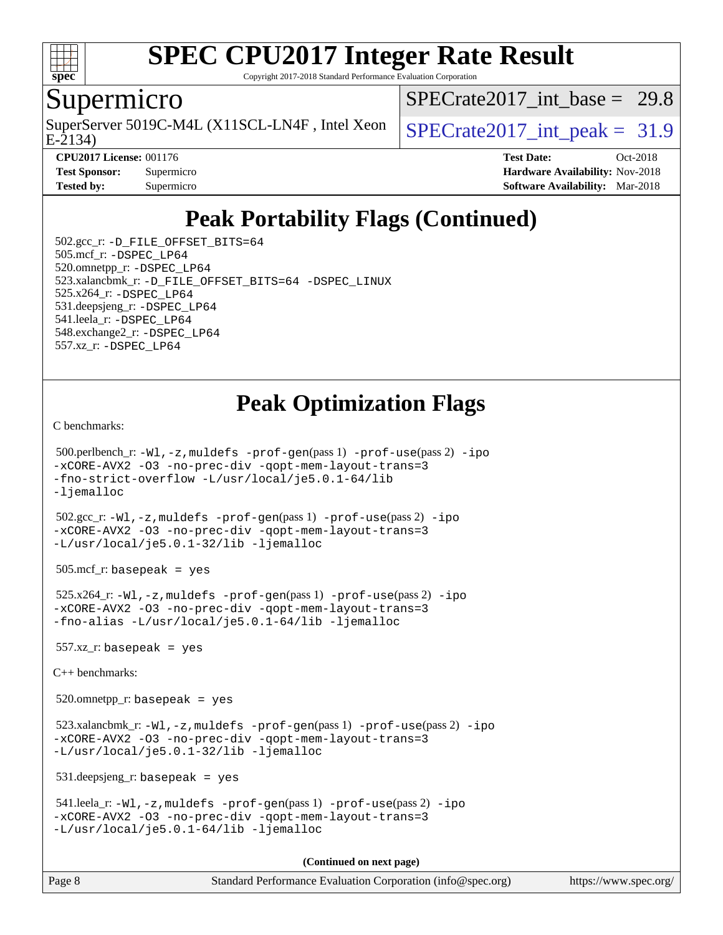

Copyright 2017-2018 Standard Performance Evaluation Corporation

#### Supermicro

SuperServer 5019C-M4L (X11SCL-LN4F, Intel Xeon  $\big|$  SPECrate 2017 int peak = 31.9

[SPECrate2017\\_int\\_base =](http://www.spec.org/auto/cpu2017/Docs/result-fields.html#SPECrate2017intbase) 29.8

E-2134)

**[CPU2017 License:](http://www.spec.org/auto/cpu2017/Docs/result-fields.html#CPU2017License)** 001176 **[Test Date:](http://www.spec.org/auto/cpu2017/Docs/result-fields.html#TestDate)** Oct-2018 **[Test Sponsor:](http://www.spec.org/auto/cpu2017/Docs/result-fields.html#TestSponsor)** Supermicro **[Hardware Availability:](http://www.spec.org/auto/cpu2017/Docs/result-fields.html#HardwareAvailability)** Nov-2018 **[Tested by:](http://www.spec.org/auto/cpu2017/Docs/result-fields.html#Testedby)** Supermicro **Supermicro [Software Availability:](http://www.spec.org/auto/cpu2017/Docs/result-fields.html#SoftwareAvailability)** Mar-2018

## **[Peak Portability Flags \(Continued\)](http://www.spec.org/auto/cpu2017/Docs/result-fields.html#PeakPortabilityFlags)**

 502.gcc\_r: [-D\\_FILE\\_OFFSET\\_BITS=64](http://www.spec.org/cpu2017/results/res2018q4/cpu2017-20181112-09623.flags.html#user_peakPORTABILITY502_gcc_r_file_offset_bits_64_5ae949a99b284ddf4e95728d47cb0843d81b2eb0e18bdfe74bbf0f61d0b064f4bda2f10ea5eb90e1dcab0e84dbc592acfc5018bc955c18609f94ddb8d550002c) 505.mcf\_r: [-DSPEC\\_LP64](http://www.spec.org/cpu2017/results/res2018q4/cpu2017-20181112-09623.flags.html#suite_peakPORTABILITY505_mcf_r_DSPEC_LP64) 520.omnetpp\_r: [-DSPEC\\_LP64](http://www.spec.org/cpu2017/results/res2018q4/cpu2017-20181112-09623.flags.html#suite_peakPORTABILITY520_omnetpp_r_DSPEC_LP64) 523.xalancbmk\_r: [-D\\_FILE\\_OFFSET\\_BITS=64](http://www.spec.org/cpu2017/results/res2018q4/cpu2017-20181112-09623.flags.html#user_peakPORTABILITY523_xalancbmk_r_file_offset_bits_64_5ae949a99b284ddf4e95728d47cb0843d81b2eb0e18bdfe74bbf0f61d0b064f4bda2f10ea5eb90e1dcab0e84dbc592acfc5018bc955c18609f94ddb8d550002c) [-DSPEC\\_LINUX](http://www.spec.org/cpu2017/results/res2018q4/cpu2017-20181112-09623.flags.html#b523.xalancbmk_r_peakCXXPORTABILITY_DSPEC_LINUX) 525.x264\_r: [-DSPEC\\_LP64](http://www.spec.org/cpu2017/results/res2018q4/cpu2017-20181112-09623.flags.html#suite_peakPORTABILITY525_x264_r_DSPEC_LP64) 531.deepsjeng\_r: [-DSPEC\\_LP64](http://www.spec.org/cpu2017/results/res2018q4/cpu2017-20181112-09623.flags.html#suite_peakPORTABILITY531_deepsjeng_r_DSPEC_LP64) 541.leela\_r: [-DSPEC\\_LP64](http://www.spec.org/cpu2017/results/res2018q4/cpu2017-20181112-09623.flags.html#suite_peakPORTABILITY541_leela_r_DSPEC_LP64) 548.exchange2\_r: [-DSPEC\\_LP64](http://www.spec.org/cpu2017/results/res2018q4/cpu2017-20181112-09623.flags.html#suite_peakPORTABILITY548_exchange2_r_DSPEC_LP64) 557.xz\_r: [-DSPEC\\_LP64](http://www.spec.org/cpu2017/results/res2018q4/cpu2017-20181112-09623.flags.html#suite_peakPORTABILITY557_xz_r_DSPEC_LP64)

### **[Peak Optimization Flags](http://www.spec.org/auto/cpu2017/Docs/result-fields.html#PeakOptimizationFlags)**

[C benchmarks](http://www.spec.org/auto/cpu2017/Docs/result-fields.html#Cbenchmarks):

```
(info@spec.org)https://www.spec.org/
  500.perlbench_r: -Wl,-z,muldefs -prof-gen(pass 1) -prof-use(pass 2) -ipo
-xCORE-AVX2 -O3 -no-prec-div -qopt-mem-layout-trans=3
-fno-strict-overflow -L/usr/local/je5.0.1-64/lib
-ljemalloc
  502.gcc_r: -Wl,-z,muldefs -prof-gen(pass 1) -prof-use(pass 2) -ipo
-xCORE-AVX2 -O3 -no-prec-div -qopt-mem-layout-trans=3
-L/usr/local/je5.0.1-32/lib -ljemalloc
  505.mcf_r: basepeak = yes
  525.x264_r: -Wl,-z,muldefs -prof-gen(pass 1) -prof-use(pass 2) -ipo
-xCORE-AVX2 -O3 -no-prec-div -qopt-mem-layout-trans=3
-fno-alias -L/usr/local/je5.0.1-64/lib -ljemalloc
  557.xz_r: basepeak = yes
C++ benchmarks: 
  520.omnetpp_r: basepeak = yes
 523.xalancbmk_r: -W1, -z, muldefs -prof-qen(pass 1) -prof-use-ipo-xCORE-AVX2 -O3 -no-prec-div -qopt-mem-layout-trans=3
-L/usr/local/je5.0.1-32/lib -ljemalloc
  531.deepsjeng_r: basepeak = yes
  541.leela_r: -Wl,-z,muldefs -prof-gen(pass 1) -prof-use(pass 2) -ipo
-xCORE-AVX2 -O3 -no-prec-div -qopt-mem-layout-trans=3
-L/usr/local/je5.0.1-64/lib -ljemalloc
                                     (Continued on next page)
```